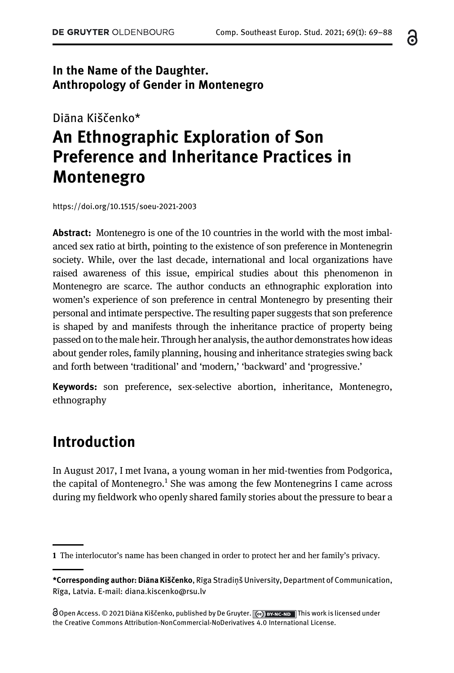#### In the Name of the Daughter. Anthropology of Gender in Montenegro

## Diāna Kiščenko\* An Ethnographic Exploration of Son Preference and Inheritance Practices in Montenegro

<https://doi.org/10.1515/soeu-2021-2003>

Abstract: Montenegro is one of the 10 countries in the world with the most imbalanced sex ratio at birth, pointing to the existence of son preference in Montenegrin society. While, over the last decade, international and local organizations have raised awareness of this issue, empirical studies about this phenomenon in Montenegro are scarce. The author conducts an ethnographic exploration into women's experience of son preference in central Montenegro by presenting their personal and intimate perspective. The resulting paper suggests that son preference is shaped by and manifests through the inheritance practice of property being passed on to the male heir. Through her analysis, the author demonstrates how ideas about gender roles, family planning, housing and inheritance strategies swing back and forth between 'traditional' and 'modern,' 'backward' and 'progressive.'

Keywords: son preference, sex-selective abortion, inheritance, Montenegro, ethnography

### Introduction

In August 2017, I met Ivana, a young woman in her mid-twenties from Podgorica, the capital of Montenegro.<sup>1</sup> She was among the few Montenegrins I came across during my fieldwork who openly shared family stories about the pressure to bear a 6

<sup>1</sup> The interlocutor's name has been changed in order to protect her and her family's privacy.

<sup>\*</sup>Corresponding author: Diāna Kiščenko, Rīga Stradiņš University, Department of Communication, Rīga, Latvia. E-mail: [diana.kiscenko@rsu.lv](mailto:diana.kiscenko@rsu.lv)

<sup>@</sup> Open Access. © 2021 Diāna Kiščenko, published by De Gruyter.  $\lceil$  @ BY-NC-ND This work is licensed under the Creative Commons Attribution-NonCommercial-NoDerivatives 4.0 International License.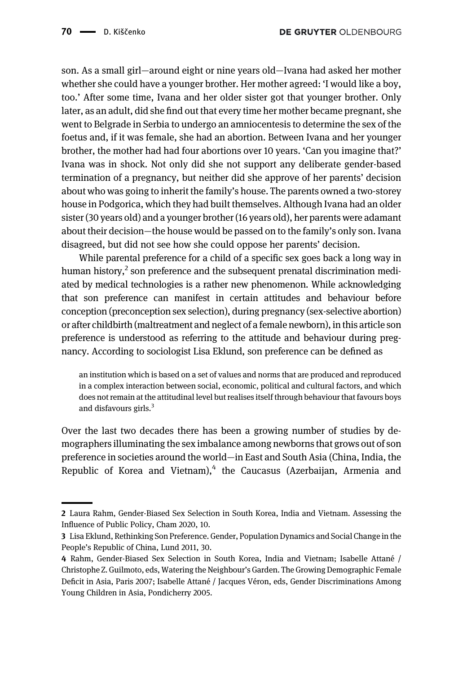son. As a small girl—around eight or nine years old—Ivana had asked her mother whether she could have a younger brother. Her mother agreed: 'I would like a boy, too.' After some time, Ivana and her older sister got that younger brother. Only later, as an adult, did she find out that every time her mother became pregnant, she went to Belgrade in Serbia to undergo an amniocentesis to determine the sex of the foetus and, if it was female, she had an abortion. Between Ivana and her younger brother, the mother had had four abortions over 10 years. 'Can you imagine that?' Ivana was in shock. Not only did she not support any deliberate gender-based termination of a pregnancy, but neither did she approve of her parents' decision about who was going to inherit the family's house. The parents owned a two-storey house in Podgorica, which they had built themselves. Although Ivana had an older sister (30 years old) and a younger brother (16 years old), her parents were adamant about their decision—the house would be passed on to the family's only son. Ivana disagreed, but did not see how she could oppose her parents' decision.

While parental preference for a child of a specific sex goes back a long way in human history, $2$  son preference and the subsequent prenatal discrimination mediated by medical technologies is a rather new phenomenon. While acknowledging that son preference can manifest in certain attitudes and behaviour before conception (preconception sex selection), during pregnancy (sex-selective abortion) or after childbirth (maltreatment and neglect of a female newborn), in this article son preference is understood as referring to the attitude and behaviour during pregnancy. According to sociologist Lisa Eklund, son preference can be defined as

an institution which is based on a set of values and norms that are produced and reproduced in a complex interaction between social, economic, political and cultural factors, and which does not remain at the attitudinal level but realises itself through behaviour that favours boys and disfavours girls. $3$ 

Over the last two decades there has been a growing number of studies by demographers illuminating the sex imbalance among newborns that grows out of son preference in societies around the world—in East and South Asia (China, India, the Republic of Korea and Vietnam), $4$  the Caucasus (Azerbaijan, Armenia and

<sup>2</sup> Laura Rahm, Gender-Biased Sex Selection in South Korea, India and Vietnam. Assessing the Influence of Public Policy, Cham 2020, 10.

<sup>3</sup> Lisa Eklund, Rethinking Son Preference. Gender, Population Dynamics and Social Change in the People's Republic of China, Lund 2011, 30.

<sup>4</sup> Rahm, Gender-Biased Sex Selection in South Korea, India and Vietnam; Isabelle Attané / Christophe Z. Guilmoto, eds, Watering the Neighbour's Garden. The Growing Demographic Female Deficit in Asia, Paris 2007; Isabelle Attané / Jacques Véron, eds, Gender Discriminations Among Young Children in Asia, Pondicherry 2005.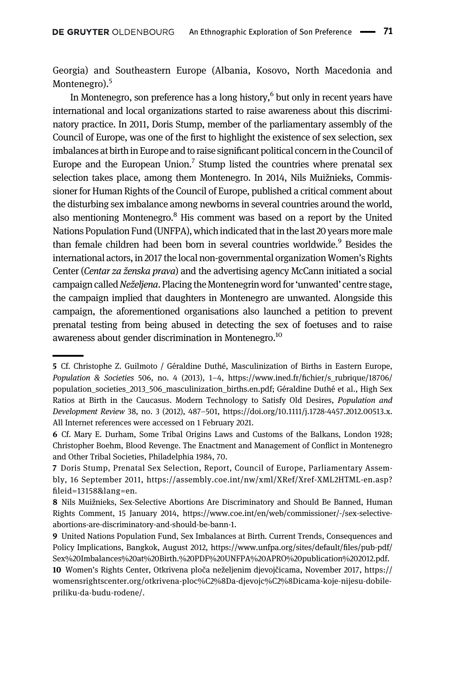Georgia) and Southeastern Europe (Albania, Kosovo, North Macedonia and Montenegro).<sup>5</sup>

In Montenegro, son preference has a long history,<sup>6</sup> but only in recent years have international and local organizations started to raise awareness about this discriminatory practice. In 2011, Doris Stump, member of the parliamentary assembly of the Council of Europe, was one of the first to highlight the existence of sex selection, sex imbalances at birth in Europe and to raise significant political concern in the Council of Europe and the European Union.<sup>7</sup> Stump listed the countries where prenatal sex selection takes place, among them Montenegro. In 2014, Nils Muižnieks, Commissioner for Human Rights of the Council of Europe, published a critical comment about the disturbing sex imbalance among newborns in several countries around the world, also mentioning Montenegro. $8$  His comment was based on a report by the United Nations Population Fund (UNFPA), which indicated that in thelast 20 years more male than female children had been born in several countries worldwide.<sup>9</sup> Besides the international actors, in 2017 the local non-governmental organization Women's Rights Center (Centar za ženska prava) and the advertising agency McCann initiated a social campaign called Neželjena. Placing the Montenegrin word for 'unwanted' centre stage, the campaign implied that daughters in Montenegro are unwanted. Alongside this campaign, the aforementioned organisations also launched a petition to prevent prenatal testing from being abused in detecting the sex of foetuses and to raise awareness about gender discrimination in Montenegro.<sup>10</sup>

<sup>5</sup> Cf. Christophe Z. Guilmoto / Géraldine Duthé, Masculinization of Births in Eastern Europe, Population & Societies 506, no. 4 (2013), 1–4, https://www.ined.fr/fi[chier/s\\_rubrique/18706/](https://www.ined.fr/fichier/s_rubrique/18706/population_societies_2013_506_masculinization_births.en.pdf) [population\\_societies\\_2013\\_506\\_masculinization\\_births.en.pdf](https://www.ined.fr/fichier/s_rubrique/18706/population_societies_2013_506_masculinization_births.en.pdf); Géraldine Duthé et al., High Sex Ratios at Birth in the Caucasus. Modern Technology to Satisfy Old Desires, Population and Development Review 38, no. 3 (2012), 487–501, [https://doi.org/10.1111/j.1728-4457.2012.00513.x.](https://doi.org/10.1111/j.1728-4457.2012.00513.x) All Internet references were accessed on 1 February 2021.

<sup>6</sup> Cf. Mary E. Durham, Some Tribal Origins Laws and Customs of the Balkans, London 1928; Christopher Boehm, Blood Revenge. The Enactment and Management of Conflict in Montenegro and Other Tribal Societies, Philadelphia 1984, 70.

<sup>7</sup> Doris Stump, Prenatal Sex Selection, Report, Council of Europe, Parliamentary Assembly, 16 September 2011, [https://assembly.coe.int/nw/xml/XRef/Xref-XML2HTML-en.asp?](https://assembly.coe.int/nw/xml/XRef/Xref-XML2HTML-en.asp?fileid=13158&lang=en) fi[leid=13158&lang=en.](https://assembly.coe.int/nw/xml/XRef/Xref-XML2HTML-en.asp?fileid=13158&lang=en)

<sup>8</sup> Nils Muižnieks, Sex-Selective Abortions Are Discriminatory and Should Be Banned, Human Rights Comment, 15 January 2014, [https://www.coe.int/en/web/commissioner/-/sex-selective](https://www.coe.int/en/web/commissioner/-/sex-selective-abortions-are-discriminatory-and-should-be-bann-1)[abortions-are-discriminatory-and-should-be-bann-1.](https://www.coe.int/en/web/commissioner/-/sex-selective-abortions-are-discriminatory-and-should-be-bann-1)

<sup>9</sup> United Nations Population Fund, Sex Imbalances at Birth. Current Trends, Consequences and Policy Implications, Bangkok, August 2012, [https://www.unfpa.org/sites/default/](https://www.unfpa.org/sites/default/files/pub-pdf/Sex%20Imbalances%20at%20Birth.%20PDF%20UNFPA%20APRO%20publication%202012.pdf)files/pub-pdf/ [Sex%20Imbalances%20at%20Birth.%20PDF%20UNFPA%20APRO%20publication%202012.pdf.](https://www.unfpa.org/sites/default/files/pub-pdf/Sex%20Imbalances%20at%20Birth.%20PDF%20UNFPA%20APRO%20publication%202012.pdf)

<sup>10</sup> Women's Rights Center, Otkrivena ploča neželjenim djevojčicama, November 2017, [https://](https://womensrightscenter.org/otkrivena-ploc%C2%8Da-djevojc%C2%8Dicama-koje-nijesu-dobile-priliku-da-budu-rodene/) [womensrightscenter.org/otkrivena-ploc%C2%8Da-djevojc%C2%8Dicama-koje-nijesu-dobile](https://womensrightscenter.org/otkrivena-ploc%C2%8Da-djevojc%C2%8Dicama-koje-nijesu-dobile-priliku-da-budu-rodene/)[priliku-da-budu-rodene/.](https://womensrightscenter.org/otkrivena-ploc%C2%8Da-djevojc%C2%8Dicama-koje-nijesu-dobile-priliku-da-budu-rodene/)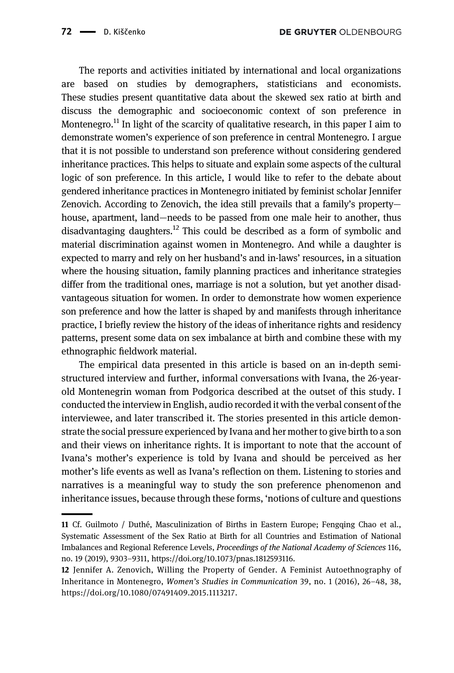The reports and activities initiated by international and local organizations are based on studies by demographers, statisticians and economists. These studies present quantitative data about the skewed sex ratio at birth and discuss the demographic and socioeconomic context of son preference in Montenegro.<sup>11</sup> In light of the scarcity of qualitative research, in this paper I aim to demonstrate women's experience of son preference in central Montenegro. I argue that it is not possible to understand son preference without considering gendered inheritance practices. This helps to situate and explain some aspects of the cultural logic of son preference. In this article, I would like to refer to the debate about gendered inheritance practices in Montenegro initiated by feminist scholar Jennifer Zenovich. According to Zenovich, the idea still prevails that a family's property house, apartment, land—needs to be passed from one male heir to another, thus disadvantaging daughters.<sup>12</sup> This could be described as a form of symbolic and material discrimination against women in Montenegro. And while a daughter is expected to marry and rely on her husband's and in-laws' resources, in a situation where the housing situation, family planning practices and inheritance strategies differ from the traditional ones, marriage is not a solution, but yet another disadvantageous situation for women. In order to demonstrate how women experience son preference and how the latter is shaped by and manifests through inheritance practice, I briefly review the history of the ideas of inheritance rights and residency patterns, present some data on sex imbalance at birth and combine these with my ethnographic fieldwork material.

The empirical data presented in this article is based on an in-depth semistructured interview and further, informal conversations with Ivana, the 26-yearold Montenegrin woman from Podgorica described at the outset of this study. I conducted the interview in English, audio recorded it with the verbal consent of the interviewee, and later transcribed it. The stories presented in this article demonstrate the social pressure experienced by Ivana and her mother to give birth to a son and their views on inheritance rights. It is important to note that the account of Ivana's mother's experience is told by Ivana and should be perceived as her mother's life events as well as Ivana's reflection on them. Listening to stories and narratives is a meaningful way to study the son preference phenomenon and inheritance issues, because through these forms, 'notions of culture and questions

<sup>11</sup> Cf. Guilmoto / Duthé, Masculinization of Births in Eastern Europe; Fengqing Chao et al., Systematic Assessment of the Sex Ratio at Birth for all Countries and Estimation of National Imbalances and Regional Reference Levels, Proceedings of the National Academy of Sciences 116, no. 19 (2019), 9303–9311, [https://doi.org/10.1073/pnas.1812593116.](https://doi.org/10.1073/pnas.1812593116)

<sup>12</sup> Jennifer A. Zenovich, Willing the Property of Gender. A Feminist Autoethnography of Inheritance in Montenegro, Women's Studies in Communication 39, no. 1 (2016), 26–48, 38, [https://doi.org/10.1080/07491409.2015.1113217.](https://doi.org/10.1080/07491409.2015.1113217)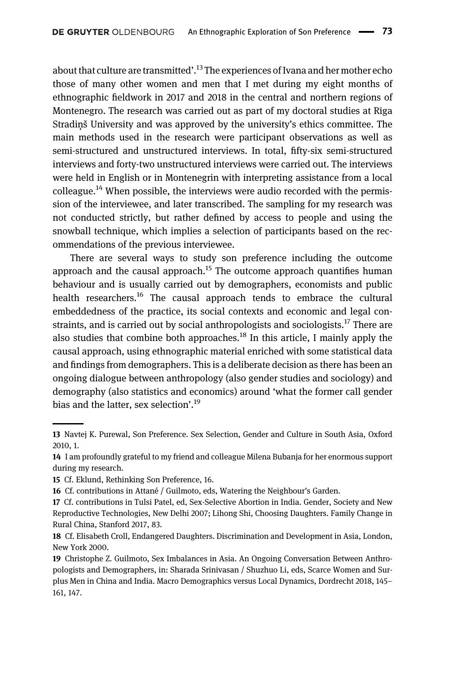about that culture are transmitted'.<sup>13</sup> The experiences of Ivana and her mother echo those of many other women and men that I met during my eight months of ethnographic fieldwork in 2017 and 2018 in the central and northern regions of Montenegro. The research was carried out as part of my doctoral studies at Rīga Stradiņš University and was approved by the university's ethics committee. The main methods used in the research were participant observations as well as semi-structured and unstructured interviews. In total, fifty-six semi-structured interviews and forty-two unstructured interviews were carried out. The interviews were held in English or in Montenegrin with interpreting assistance from a local colleague.<sup>14</sup> When possible, the interviews were audio recorded with the permission of the interviewee, and later transcribed. The sampling for my research was not conducted strictly, but rather defined by access to people and using the snowball technique, which implies a selection of participants based on the recommendations of the previous interviewee.

There are several ways to study son preference including the outcome approach and the causal approach.<sup>15</sup> The outcome approach quantifies human behaviour and is usually carried out by demographers, economists and public health researchers.<sup>16</sup> The causal approach tends to embrace the cultural embeddedness of the practice, its social contexts and economic and legal constraints, and is carried out by social anthropologists and sociologists.<sup>17</sup> There are also studies that combine both approaches.<sup>18</sup> In this article, I mainly apply the causal approach, using ethnographic material enriched with some statistical data and findings from demographers. This is a deliberate decision as there has been an ongoing dialogue between anthropology (also gender studies and sociology) and demography (also statistics and economics) around 'what the former call gender bias and the latter, sex selection'.<sup>19</sup>

<sup>13</sup> Navtej K. Purewal, Son Preference. Sex Selection, Gender and Culture in South Asia, Oxford 2010, 1.

<sup>14</sup> I am profoundly grateful to my friend and colleague Milena Bubanja for her enormous support during my research.

<sup>15</sup> Cf. Eklund, Rethinking Son Preference, 16.

<sup>16</sup> Cf. contributions in Attané / Guilmoto, eds, Watering the Neighbour's Garden.

<sup>17</sup> Cf. contributions in Tulsi Patel, ed, Sex-Selective Abortion in India. Gender, Society and New Reproductive Technologies, New Delhi 2007; Lihong Shi, Choosing Daughters. Family Change in Rural China, Stanford 2017, 83.

<sup>18</sup> Cf. Elisabeth Croll, Endangered Daughters. Discrimination and Development in Asia, London, New York 2000.

<sup>19</sup> Christophe Z. Guilmoto, Sex Imbalances in Asia. An Ongoing Conversation Between Anthropologists and Demographers, in: Sharada Srinivasan / Shuzhuo Li, eds, Scarce Women and Surplus Men in China and India. Macro Demographics versus Local Dynamics, Dordrecht 2018, 145– 161, 147.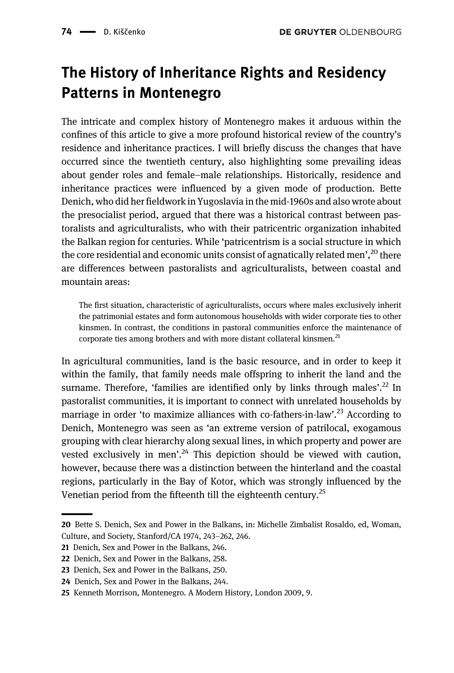# The History of Inheritance Rights and Residency Patterns in Montenegro

The intricate and complex history of Montenegro makes it arduous within the confines of this article to give a more profound historical review of the country's residence and inheritance practices. I will briefly discuss the changes that have occurred since the twentieth century, also highlighting some prevailing ideas about gender roles and female–male relationships. Historically, residence and inheritance practices were influenced by a given mode of production. Bette Denich, who did her fieldwork in Yugoslavia in the mid-1960s and also wrote about the presocialist period, argued that there was a historical contrast between pastoralists and agriculturalists, who with their patricentric organization inhabited the Balkan region for centuries. While 'patricentrism is a social structure in which the core residential and economic units consist of agnatically related men',<sup>20</sup> there are differences between pastoralists and agriculturalists, between coastal and mountain areas:

The first situation, characteristic of agriculturalists, occurs where males exclusively inherit the patrimonial estates and form autonomous households with wider corporate ties to other kinsmen. In contrast, the conditions in pastoral communities enforce the maintenance of corporate ties among brothers and with more distant collateral kinsmen.<sup>21</sup>

In agricultural communities, land is the basic resource, and in order to keep it within the family, that family needs male offspring to inherit the land and the surname. Therefore, 'families are identified only by links through males'.<sup>22</sup> In pastoralist communities, it is important to connect with unrelated households by marriage in order 'to maximize alliances with co-fathers-in-law'.<sup>23</sup> According to Denich, Montenegro was seen as 'an extreme version of patrilocal, exogamous grouping with clear hierarchy along sexual lines, in which property and power are vested exclusively in men'.<sup>24</sup> This depiction should be viewed with caution, however, because there was a distinction between the hinterland and the coastal regions, particularly in the Bay of Kotor, which was strongly influenced by the Venetian period from the fifteenth till the eighteenth century.<sup>25</sup>

<sup>20</sup> Bette S. Denich, Sex and Power in the Balkans, in: Michelle Zimbalist Rosaldo, ed, Woman, Culture, and Society, Stanford/CA 1974, 243–262, 246.

<sup>21</sup> Denich, Sex and Power in the Balkans, 246.

<sup>22</sup> Denich, Sex and Power in the Balkans, 258.

<sup>23</sup> Denich, Sex and Power in the Balkans, 250.

<sup>24</sup> Denich, Sex and Power in the Balkans, 244.

<sup>25</sup> Kenneth Morrison, Montenegro. A Modern History, London 2009, 9.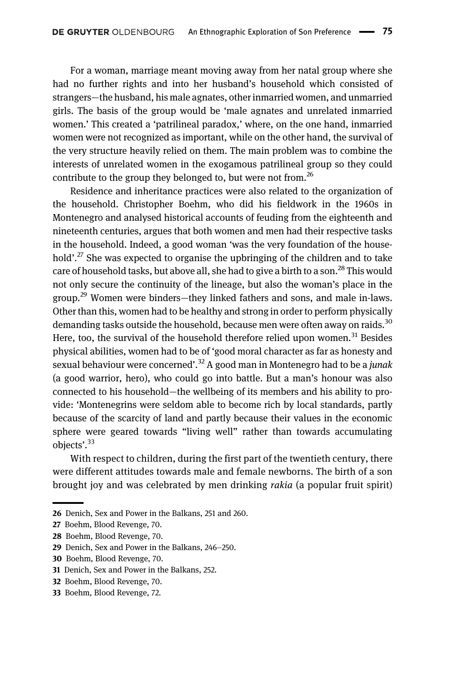For a woman, marriage meant moving away from her natal group where she had no further rights and into her husband's household which consisted of strangers—the husband, his male agnates, other inmarried women, and unmarried girls. The basis of the group would be 'male agnates and unrelated inmarried women.' This created a 'patrilineal paradox,' where, on the one hand, inmarried women were not recognized as important, while on the other hand, the survival of the very structure heavily relied on them. The main problem was to combine the interests of unrelated women in the exogamous patrilineal group so they could contribute to the group they belonged to, but were not from.<sup>26</sup>

Residence and inheritance practices were also related to the organization of the household. Christopher Boehm, who did his fieldwork in the 1960s in Montenegro and analysed historical accounts of feuding from the eighteenth and nineteenth centuries, argues that both women and men had their respective tasks in the household. Indeed, a good woman 'was the very foundation of the household'.<sup>27</sup> She was expected to organise the upbringing of the children and to take care of household tasks, but above all, she had to give a birth to a son.<sup>28</sup> This would not only secure the continuity of the lineage, but also the woman's place in the group.<sup>29</sup> Women were binders—they linked fathers and sons, and male in-laws. Other than this, women had to be healthy and strong in order to perform physically demanding tasks outside the household, because men were often away on raids.<sup>30</sup> Here, too, the survival of the household therefore relied upon women.<sup>31</sup> Besides physical abilities, women had to be of 'good moral character as far as honesty and sexual behaviour were concerned'.<sup>32</sup> A good man in Montenegro had to be a *junak* (a good warrior, hero), who could go into battle. But a man's honour was also connected to his household—the wellbeing of its members and his ability to provide: 'Montenegrins were seldom able to become rich by local standards, partly because of the scarcity of land and partly because their values in the economic sphere were geared towards "living well" rather than towards accumulating objects'. 33

With respect to children, during the first part of the twentieth century, there were different attitudes towards male and female newborns. The birth of a son brought joy and was celebrated by men drinking rakia (a popular fruit spirit)

<sup>26</sup> Denich, Sex and Power in the Balkans, 251 and 260.

<sup>27</sup> Boehm, Blood Revenge, 70.

<sup>28</sup> Boehm, Blood Revenge, 70.

<sup>29</sup> Denich, Sex and Power in the Balkans, 246–250.

<sup>30</sup> Boehm, Blood Revenge, 70.

<sup>31</sup> Denich, Sex and Power in the Balkans, 252.

<sup>32</sup> Boehm, Blood Revenge, 70.

<sup>33</sup> Boehm, Blood Revenge, 72.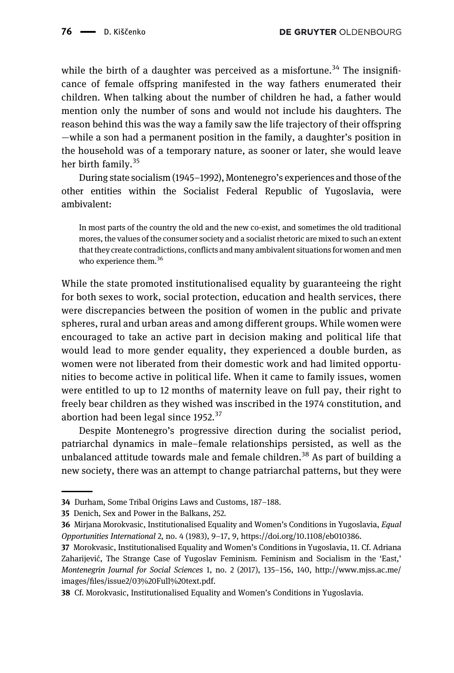while the birth of a daughter was perceived as a misfortune.<sup>34</sup> The insignificance of female offspring manifested in the way fathers enumerated their children. When talking about the number of children he had, a father would mention only the number of sons and would not include his daughters. The reason behind this was the way a family saw the life trajectory of their offspring —while a son had a permanent position in the family, a daughter's position in the household was of a temporary nature, as sooner or later, she would leave her birth family.<sup>35</sup>

During state socialism (1945–1992), Montenegro's experiences and those of the other entities within the Socialist Federal Republic of Yugoslavia, were ambivalent:

In most parts of the country the old and the new co-exist, and sometimes the old traditional mores, the values of the consumer society and a socialist rhetoric are mixed to such an extent that they create contradictions, conflicts and many ambivalent situations for women and men who experience them.<sup>36</sup>

While the state promoted institutionalised equality by guaranteeing the right for both sexes to work, social protection, education and health services, there were discrepancies between the position of women in the public and private spheres, rural and urban areas and among different groups. While women were encouraged to take an active part in decision making and political life that would lead to more gender equality, they experienced a double burden, as women were not liberated from their domestic work and had limited opportunities to become active in political life. When it came to family issues, women were entitled to up to 12 months of maternity leave on full pay, their right to freely bear children as they wished was inscribed in the 1974 constitution, and abortion had been legal since  $1952.<sup>37</sup>$ 

Despite Montenegro's progressive direction during the socialist period, patriarchal dynamics in male–female relationships persisted, as well as the unbalanced attitude towards male and female children.<sup>38</sup> As part of building a new society, there was an attempt to change patriarchal patterns, but they were

<sup>34</sup> Durham, Some Tribal Origins Laws and Customs, 187–188.

<sup>35</sup> Denich, Sex and Power in the Balkans, 252.

<sup>36</sup> Mirjana Morokvasic, Institutionalised Equality and Women's Conditions in Yugoslavia, *Equal* Opportunities International 2, no. 4 (1983), 9–17, 9, [https://doi.org/10.1108/eb010386.](https://doi.org/10.1108/eb010386)

<sup>37</sup> Morokvasic, Institutionalised Equality and Women's Conditions in Yugoslavia, 11. Cf. Adriana Zaharijević, The Strange Case of Yugoslav Feminism. Feminism and Socialism in the 'East,' Montenegrin Journal for Social Sciences 1, no. 2 (2017), 135–156, 140, [http://www.mjss.ac.me/](http://www.mjss.ac.me/images/files/issue2/03%20Full%20text.pdf) images/fi[les/issue2/03%20Full%20text.pdf](http://www.mjss.ac.me/images/files/issue2/03%20Full%20text.pdf).

<sup>38</sup> Cf. Morokvasic, Institutionalised Equality and Women's Conditions in Yugoslavia.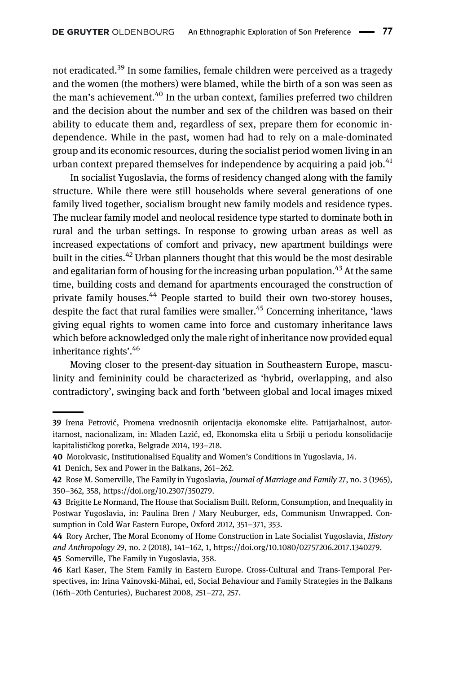not eradicated.<sup>39</sup> In some families, female children were perceived as a tragedy and the women (the mothers) were blamed, while the birth of a son was seen as the man's achievement.<sup>40</sup> In the urban context, families preferred two children and the decision about the number and sex of the children was based on their ability to educate them and, regardless of sex, prepare them for economic independence. While in the past, women had had to rely on a male-dominated group and its economic resources, during the socialist period women living in an urban context prepared themselves for independence by acquiring a paid job.<sup>41</sup>

In socialist Yugoslavia, the forms of residency changed along with the family structure. While there were still households where several generations of one family lived together, socialism brought new family models and residence types. The nuclear family model and neolocal residence type started to dominate both in rural and the urban settings. In response to growing urban areas as well as increased expectations of comfort and privacy, new apartment buildings were built in the cities.<sup>42</sup> Urban planners thought that this would be the most desirable and egalitarian form of housing for the increasing urban population.<sup>43</sup> At the same time, building costs and demand for apartments encouraged the construction of private family houses.<sup>44</sup> People started to build their own two-storey houses, despite the fact that rural families were smaller.<sup>45</sup> Concerning inheritance, 'laws giving equal rights to women came into force and customary inheritance laws which before acknowledged only the male right of inheritance now provided equal inheritance rights'. 46

Moving closer to the present-day situation in Southeastern Europe, masculinity and femininity could be characterized as 'hybrid, overlapping, and also contradictory', swinging back and forth 'between global and local images mixed

<sup>39</sup> Irena Petrović, Promena vrednosnih orijentacija ekonomske elite. Patrijarhalnost, autoritarnost, nacionalizam, in: Mladen Lazić, ed, Ekonomska elita u Srbiji u periodu konsolidacije kapitalističkog poretka, Belgrade 2014, 193–218.

<sup>40</sup> Morokvasic, Institutionalised Equality and Women's Conditions in Yugoslavia, 14.

<sup>41</sup> Denich, Sex and Power in the Balkans, 261–262.

<sup>42</sup> Rose M. Somerville, The Family in Yugoslavia, Journal of Marriage and Family 27, no. 3 (1965), 350–362, 358,<https://doi.org/10.2307/350279>.

<sup>43</sup> Brigitte Le Normand, The House that Socialism Built. Reform, Consumption, and Inequality in Postwar Yugoslavia, in: Paulina Bren / Mary Neuburger, eds, Communism Unwrapped. Consumption in Cold War Eastern Europe, Oxford 2012, 351–371, 353.

<sup>44</sup> Rory Archer, The Moral Economy of Home Construction in Late Socialist Yugoslavia, History and Anthropology 29, no. 2 (2018), 141–162, 1, [https://doi.org/10.1080/02757206.2017.1340279.](https://doi.org/10.1080/02757206.2017.1340279) 45 Somerville, The Family in Yugoslavia, 358.

<sup>46</sup> Karl Kaser, The Stem Family in Eastern Europe. Cross-Cultural and Trans-Temporal Perspectives, in: Irina Vainovski-Mihai, ed, Social Behaviour and Family Strategies in the Balkans (16th–20th Centuries), Bucharest 2008, 251–272, 257.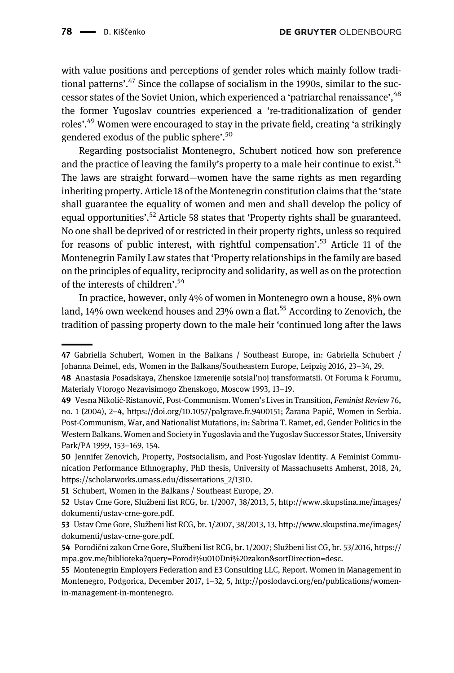with value positions and perceptions of gender roles which mainly follow traditional patterns'.<sup>47</sup> Since the collapse of socialism in the 1990s, similar to the successor states of the Soviet Union, which experienced a 'patriarchal renaissance', <sup>48</sup> the former Yugoslav countries experienced a 're-traditionalization of gender roles'. <sup>49</sup> Women were encouraged to stay in the private field, creating 'a strikingly gendered exodus of the public sphere'.<sup>50</sup>

Regarding postsocialist Montenegro, Schubert noticed how son preference and the practice of leaving the family's property to a male heir continue to exist.<sup>51</sup> The laws are straight forward—women have the same rights as men regarding inheriting property. Article 18 of the Montenegrin constitution claims that the 'state shall guarantee the equality of women and men and shall develop the policy of equal opportunities'.<sup>52</sup> Article 58 states that 'Property rights shall be guaranteed. No one shall be deprived of or restricted in their property rights, unless so required for reasons of public interest, with rightful compensation'.<sup>53</sup> Article 11 of the Montenegrin Family Law states that 'Property relationships in the family are based on the principles of equality, reciprocity and solidarity, as well as on the protection of the interests of children'. 54

In practice, however, only 4% of women in Montenegro own a house, 8% own land, 14% own weekend houses and 23% own a flat.<sup>55</sup> According to Zenovich, the tradition of passing property down to the male heir 'continued long after the laws

<sup>47</sup> Gabriella Schubert, Women in the Balkans / Southeast Europe, in: Gabriella Schubert / Johanna Deimel, eds, Women in the Balkans/Southeastern Europe, Leipzig 2016, 23–34, 29.

<sup>48</sup> Anastasia Posadskaya, Zhenskoe izmerenije sotsial'noj transformatsii. Ot Foruma k Forumu, Materialy Vtorogo Nezavisimogo Zhenskogo, Moscow 1993, 13–19.

<sup>49</sup> Vesna Nikolić-Ristanović, Post-Communism. Women's Lives in Transition, Feminist Review76, no. 1 (2004), 2–4, [https://doi.org/10.1057/palgrave.fr.9400151;](https://doi.org/10.1057/palgrave.fr.9400151) Žarana Papić, Women in Serbia. Post-Communism, War, and Nationalist Mutations, in: Sabrina T. Ramet, ed, Gender Politics in the Western Balkans. Women and Society in Yugoslavia and the Yugoslav Successor States, University Park/PA 1999, 153–169, 154.

<sup>50</sup> Jennifer Zenovich, Property, Postsocialism, and Post-Yugoslav Identity. A Feminist Communication Performance Ethnography, PhD thesis, University of Massachusetts Amherst, 2018, 24, [https://scholarworks.umass.edu/dissertations\\_2/1310](https://scholarworks.umass.edu/dissertations_2/1310).

<sup>51</sup> Schubert, Women in the Balkans / Southeast Europe, 29.

<sup>52</sup> Ustav Crne Gore, Službeni list RCG, br. 1/2007, 38/2013, 5, [http://www.skupstina.me/images/](http://www.skupstina.me/images/dokumenti/ustav-crne-gore.pdf) [dokumenti/ustav-crne-gore.pdf.](http://www.skupstina.me/images/dokumenti/ustav-crne-gore.pdf)

<sup>53</sup> Ustav Crne Gore, Službeni list RCG, br. 1/2007, 38/2013, 13, [http://www.skupstina.me/images/](http://www.skupstina.me/images/dokumenti/ustav-crne-gore.pdf) [dokumenti/ustav-crne-gore.pdf.](http://www.skupstina.me/images/dokumenti/ustav-crne-gore.pdf)

<sup>54</sup> Porodični zakon Crne Gore, Službeni list RCG, br. 1/2007; Službeni list CG, br. 53/2016, [https://](https://mpa.gov.me/biblioteka?query=Porodi%u010Dni%20zakon&sortDirection=desc) [mpa.gov.me/biblioteka?query=Porodi%u010Dni%20zakon&sortDirection=desc](https://mpa.gov.me/biblioteka?query=Porodi%u010Dni%20zakon&sortDirection=desc).

<sup>55</sup> Montenegrin Employers Federation and E3 Consulting LLC, Report. Women in Management in Montenegro, Podgorica, December 2017, 1–32, 5, [http://poslodavci.org/en/publications/women](http://poslodavci.org/en/publications/women-in-management-in-montenegro)[in-management-in-montenegro](http://poslodavci.org/en/publications/women-in-management-in-montenegro).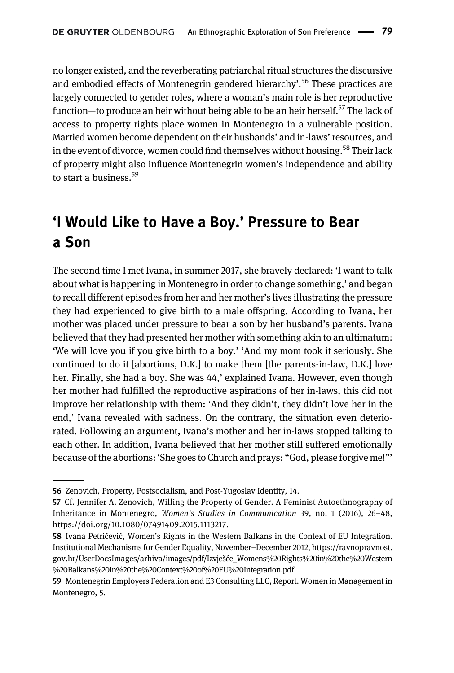no longer existed, and the reverberating patriarchal ritual structures the discursive and embodied effects of Montenegrin gendered hierarchy'.<sup>56</sup> These practices are largely connected to gender roles, where a woman's main role is her reproductive function—to produce an heir without being able to be an heir herself.<sup>57</sup> The lack of access to property rights place women in Montenegro in a vulnerable position. Married women become dependent on their husbands' and in-laws'resources, and in the event of divorce, women could find themselves without housing.<sup>58</sup> Their lack of property might also influence Montenegrin women's independence and ability to start a business.  $59$ 

## 'I Would Like to Have a Boy.' Pressure to Bear a Son

The second time I met Ivana, in summer 2017, she bravely declared: 'I want to talk about what is happening in Montenegro in order to change something,' and began to recall different episodes from her and her mother's lives illustrating the pressure they had experienced to give birth to a male offspring. According to Ivana, her mother was placed under pressure to bear a son by her husband's parents. Ivana believed that they had presented her mother with something akin to an ultimatum: 'We will love you if you give birth to a boy.' 'And my mom took it seriously. She continued to do it [abortions, D.K.] to make them [the parents-in-law, D.K.] love her. Finally, she had a boy. She was 44,' explained Ivana. However, even though her mother had fulfilled the reproductive aspirations of her in-laws, this did not improve her relationship with them: 'And they didn't, they didn't love her in the end,' Ivana revealed with sadness. On the contrary, the situation even deteriorated. Following an argument, Ivana's mother and her in-laws stopped talking to each other. In addition, Ivana believed that her mother still suffered emotionally because of the abortions: 'She goes to Church and prays: "God, please forgive me!"'

<sup>56</sup> Zenovich, Property, Postsocialism, and Post-Yugoslav Identity, 14.

<sup>57</sup> Cf. Jennifer A. Zenovich, Willing the Property of Gender. A Feminist Autoethnography of Inheritance in Montenegro, Women's Studies in Communication 39, no. 1 (2016), 26–48, <https://doi.org/10.1080/07491409.2015.1113217>.

<sup>58</sup> Ivana Petričević, Women's Rights in the Western Balkans in the Context of EU Integration. Institutional Mechanisms for Gender Equality, November–December 2012, [https://ravnopravnost.](https://ravnopravnost.gov.hr/UserDocsImages/arhiva/images/pdf/Izvjeae_Womens%20Rights%20in%20the%20Western%20Balkans%20in%20the%20Context%20of%20EU%20Integration.pdf) [gov.hr/UserDocsImages/arhiva/images/pdf/Izvje](https://ravnopravnost.gov.hr/UserDocsImages/arhiva/images/pdf/Izvjeae_Womens%20Rights%20in%20the%20Western%20Balkans%20in%20the%20Context%20of%20EU%20Integration.pdf)šće\_Womens%20Rights%20in%20the%20Western [%20Balkans%20in%20the%20Context%20of%20EU%20Integration.pdf](https://ravnopravnost.gov.hr/UserDocsImages/arhiva/images/pdf/Izvjeae_Womens%20Rights%20in%20the%20Western%20Balkans%20in%20the%20Context%20of%20EU%20Integration.pdf).

<sup>59</sup> Montenegrin Employers Federation and E3 Consulting LLC, Report. Women in Management in Montenegro, 5.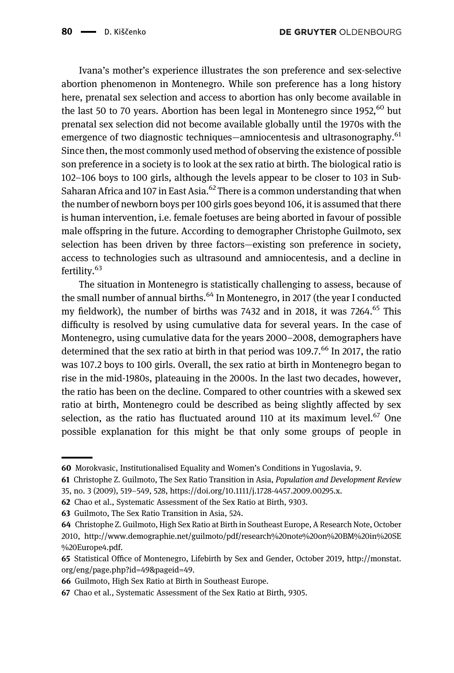Ivana's mother's experience illustrates the son preference and sex-selective abortion phenomenon in Montenegro. While son preference has a long history here, prenatal sex selection and access to abortion has only become available in the last 50 to 70 years. Abortion has been legal in Montenegro since  $1952,^{60}$  but prenatal sex selection did not become available globally until the 1970s with the emergence of two diagnostic techniques—amniocentesis and ultrasonography.<sup>61</sup> Since then, the most commonly used method of observing the existence of possible son preference in a society is to look at the sex ratio at birth. The biological ratio is 102–106 boys to 100 girls, although the levels appear to be closer to 103 in Sub-Saharan Africa and 107 in East Asia.<sup>62</sup> There is a common understanding that when the number of newborn boys per 100 girls goes beyond 106, it is assumed that there is human intervention, i.e. female foetuses are being aborted in favour of possible male offspring in the future. According to demographer Christophe Guilmoto, sex selection has been driven by three factors—existing son preference in society, access to technologies such as ultrasound and amniocentesis, and a decline in fertility.<sup>63</sup>

The situation in Montenegro is statistically challenging to assess, because of the small number of annual births.<sup>64</sup> In Montenegro, in 2017 (the year I conducted my fieldwork), the number of births was 7432 and in 2018, it was 7264.<sup>65</sup> This difficulty is resolved by using cumulative data for several years. In the case of Montenegro, using cumulative data for the years 2000–2008, demographers have determined that the sex ratio at birth in that period was  $109.7<sup>66</sup>$  In 2017, the ratio was 107.2 boys to 100 girls. Overall, the sex ratio at birth in Montenegro began to rise in the mid-1980s, plateauing in the 2000s. In the last two decades, however, the ratio has been on the decline. Compared to other countries with a skewed sex ratio at birth, Montenegro could be described as being slightly affected by sex selection, as the ratio has fluctuated around 110 at its maximum level. $67$  One possible explanation for this might be that only some groups of people in

62 Chao et al., Systematic Assessment of the Sex Ratio at Birth, 9303.

<sup>60</sup> Morokvasic, Institutionalised Equality and Women's Conditions in Yugoslavia, 9.

<sup>61</sup> Christophe Z. Guilmoto, The Sex Ratio Transition in Asia, Population and Development Review 35, no. 3 (2009), 519–549, 528,<https://doi.org/10.1111/j.1728-4457.2009.00295.x>.

<sup>63</sup> Guilmoto, The Sex Ratio Transition in Asia, 524.

<sup>64</sup> Christophe Z. Guilmoto, High Sex Ratio at Birth in Southeast Europe, A Research Note, October 2010, [http://www.demographie.net/guilmoto/pdf/research%20note%20on%20BM%20in%20SE](http://www.demographie.net/guilmoto/pdf/research%20note%20on%20BM%20in%20SE%20Europe4.pdf) [%20Europe4.pdf.](http://www.demographie.net/guilmoto/pdf/research%20note%20on%20BM%20in%20SE%20Europe4.pdf)

<sup>65</sup> Statistical Office of Montenegro, Lifebirth by Sex and Gender, October 2019, [http://monstat.](http://monstat.org/eng/page.php?id=49&pageid=49) [org/eng/page.php?id=49&pageid=49](http://monstat.org/eng/page.php?id=49&pageid=49).

<sup>66</sup> Guilmoto, High Sex Ratio at Birth in Southeast Europe.

<sup>67</sup> Chao et al., Systematic Assessment of the Sex Ratio at Birth, 9305.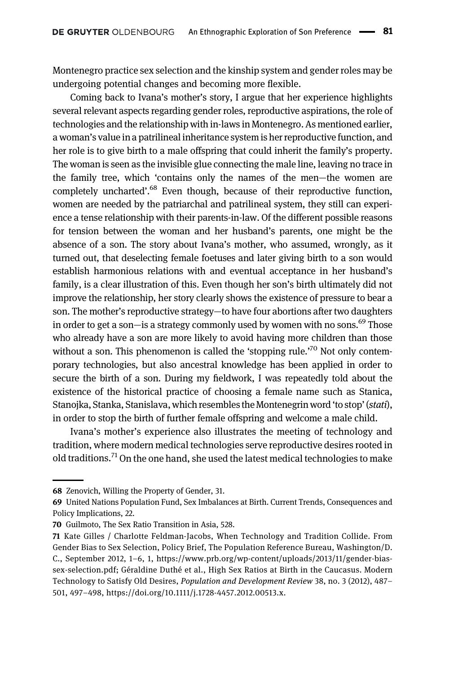Montenegro practice sex selection and the kinship system and gender roles may be undergoing potential changes and becoming more flexible.

Coming back to Ivana's mother's story, I argue that her experience highlights several relevant aspects regarding gender roles, reproductive aspirations, the role of technologies and the relationship with in-laws in Montenegro. As mentioned earlier, a woman's value in a patrilineal inheritance system is her reproductive function, and her role is to give birth to a male offspring that could inherit the family's property. The woman is seen as the invisible glue connecting the male line, leaving no trace in the family tree, which 'contains only the names of the men—the women are completely uncharted'.<sup>68</sup> Even though, because of their reproductive function, women are needed by the patriarchal and patrilineal system, they still can experience a tense relationship with their parents-in-law. Of the different possible reasons for tension between the woman and her husband's parents, one might be the absence of a son. The story about Ivana's mother, who assumed, wrongly, as it turned out, that deselecting female foetuses and later giving birth to a son would establish harmonious relations with and eventual acceptance in her husband's family, is a clear illustration of this. Even though her son's birth ultimately did not improve the relationship, her story clearly shows the existence of pressure to bear a son. The mother's reproductive strategy—to have four abortions after two daughters in order to get a son—is a strategy commonly used by women with no sons.<sup>69</sup> Those who already have a son are more likely to avoid having more children than those without a son. This phenomenon is called the 'stopping rule.'<sup>70</sup> Not only contemporary technologies, but also ancestral knowledge has been applied in order to secure the birth of a son. During my fieldwork, I was repeatedly told about the existence of the historical practice of choosing a female name such as Stanica, Stanojka, Stanka, Stanislava, which resembles the Montenegrin word 'to stop'(stati), in order to stop the birth of further female offspring and welcome a male child.

Ivana's mother's experience also illustrates the meeting of technology and tradition, where modern medical technologies serve reproductive desires rooted in old traditions.<sup>71</sup> On the one hand, she used the latest medical technologies to make

<sup>68</sup> Zenovich, Willing the Property of Gender, 31.

<sup>69</sup> United Nations Population Fund, Sex Imbalances at Birth. Current Trends, Consequences and Policy Implications, 22.

<sup>70</sup> Guilmoto, The Sex Ratio Transition in Asia, 528.

<sup>71</sup> Kate Gilles / Charlotte Feldman-Jacobs, When Technology and Tradition Collide. From Gender Bias to Sex Selection, Policy Brief, The Population Reference Bureau, Washington/D. C., September 2012, 1–6, 1, https://www.prb.org/wp-content/uploads/2013/11/gender-biassex-selection.pdf; Géraldine Duthé et al., High Sex Ratios at Birth in the Caucasus. Modern Technology to Satisfy Old Desires, Population and Development Review 38, no. 3 (2012), 487– 501, 497–498, [https://doi.org/10.1111/j.1728-4457.2012.00513.x.](https://doi.org/10.1111/j.1728-4457.2012.00513.x)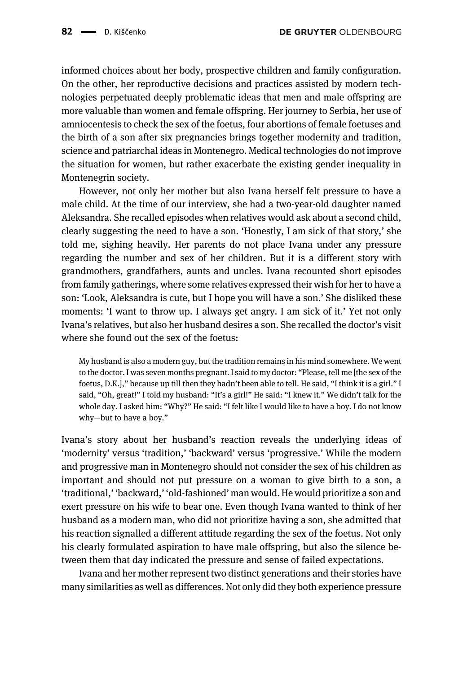informed choices about her body, prospective children and family configuration. On the other, her reproductive decisions and practices assisted by modern technologies perpetuated deeply problematic ideas that men and male offspring are more valuable than women and female offspring. Her journey to Serbia, her use of amniocentesis to check the sex of the foetus, four abortions of female foetuses and the birth of a son after six pregnancies brings together modernity and tradition, science and patriarchal ideas in Montenegro. Medical technologies do not improve the situation for women, but rather exacerbate the existing gender inequality in Montenegrin society.

However, not only her mother but also Ivana herself felt pressure to have a male child. At the time of our interview, she had a two-year-old daughter named Aleksandra. She recalled episodes when relatives would ask about a second child, clearly suggesting the need to have a son. 'Honestly, I am sick of that story,' she told me, sighing heavily. Her parents do not place Ivana under any pressure regarding the number and sex of her children. But it is a different story with grandmothers, grandfathers, aunts and uncles. Ivana recounted short episodes from family gatherings, where some relatives expressed their wish for her to have a son: 'Look, Aleksandra is cute, but I hope you will have a son.' She disliked these moments: 'I want to throw up. I always get angry. I am sick of it.' Yet not only Ivana's relatives, but also her husband desires a son. She recalled the doctor's visit where she found out the sex of the foetus:

My husband is also a modern guy, but the tradition remains in his mind somewhere. We went to the doctor. I was seven months pregnant. I said to my doctor: "Please, tell me [the sex of the foetus, D.K.]," because up till then they hadn't been able to tell. He said, "I think it is a girl." I said, "Oh, great!" I told my husband: "It's a girl!" He said: "I knew it." We didn't talk for the whole day. I asked him: "Why?" He said: "I felt like I would like to have a boy. I do not know why—but to have a boy."

Ivana's story about her husband's reaction reveals the underlying ideas of 'modernity' versus 'tradition,' 'backward' versus 'progressive.' While the modern and progressive man in Montenegro should not consider the sex of his children as important and should not put pressure on a woman to give birth to a son, a 'traditional,' 'backward,' 'old-fashioned' man would. He would prioritize a son and exert pressure on his wife to bear one. Even though Ivana wanted to think of her husband as a modern man, who did not prioritize having a son, she admitted that his reaction signalled a different attitude regarding the sex of the foetus. Not only his clearly formulated aspiration to have male offspring, but also the silence between them that day indicated the pressure and sense of failed expectations.

Ivana and her mother represent two distinct generations and their stories have many similarities as well as differences. Not only did they both experience pressure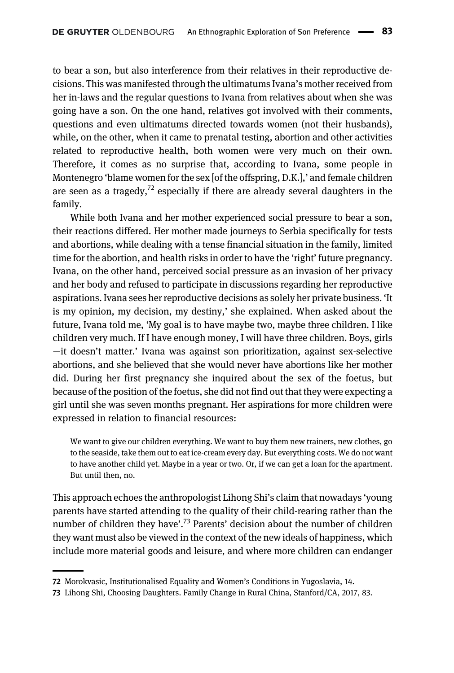to bear a son, but also interference from their relatives in their reproductive decisions. This was manifested through the ultimatums Ivana's mother received from her in-laws and the regular questions to Ivana from relatives about when she was going have a son. On the one hand, relatives got involved with their comments, questions and even ultimatums directed towards women (not their husbands), while, on the other, when it came to prenatal testing, abortion and other activities related to reproductive health, both women were very much on their own. Therefore, it comes as no surprise that, according to Ivana, some people in Montenegro 'blame women for the sex [of the offspring, D.K.],' and female children are seen as a tragedy, $72$  especially if there are already several daughters in the family.

While both Ivana and her mother experienced social pressure to bear a son, their reactions differed. Her mother made journeys to Serbia specifically for tests and abortions, while dealing with a tense financial situation in the family, limited time for the abortion, and health risks in order to have the 'right' future pregnancy. Ivana, on the other hand, perceived social pressure as an invasion of her privacy and her body and refused to participate in discussions regarding her reproductive aspirations. Ivana sees her reproductive decisions as solely her private business. 'It is my opinion, my decision, my destiny,' she explained. When asked about the future, Ivana told me, 'My goal is to have maybe two, maybe three children. I like children very much. If I have enough money, I will have three children. Boys, girls —it doesn't matter.' Ivana was against son prioritization, against sex-selective abortions, and she believed that she would never have abortions like her mother did. During her first pregnancy she inquired about the sex of the foetus, but because of the position of the foetus, she did not find out that they were expecting a girl until she was seven months pregnant. Her aspirations for more children were expressed in relation to financial resources:

We want to give our children everything. We want to buy them new trainers, new clothes, go to the seaside, take them out to eat ice-cream every day. But everything costs. We do not want to have another child yet. Maybe in a year or two. Or, if we can get a loan for the apartment. But until then, no.

This approach echoes the anthropologist Lihong Shi's claim that nowadays 'young parents have started attending to the quality of their child-rearing rather than the number of children they have'.<sup>73</sup> Parents' decision about the number of children they want must also be viewed in the context of the new ideals of happiness, which include more material goods and leisure, and where more children can endanger

<sup>72</sup> Morokvasic, Institutionalised Equality and Women's Conditions in Yugoslavia, 14.

<sup>73</sup> Lihong Shi, Choosing Daughters. Family Change in Rural China, Stanford/CA, 2017, 83.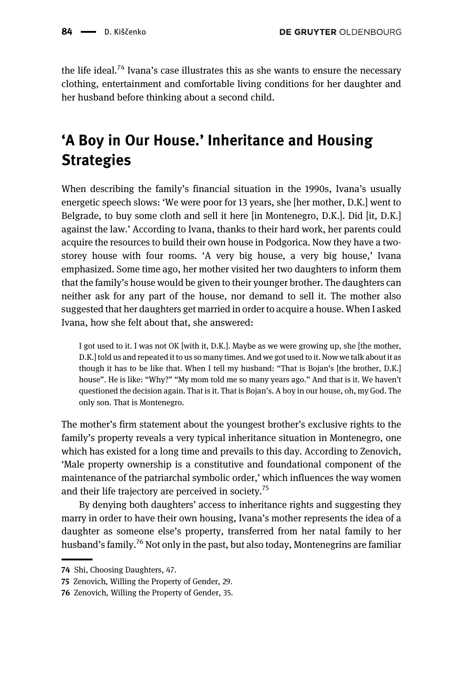the life ideal.<sup>74</sup> Ivana's case illustrates this as she wants to ensure the necessary clothing, entertainment and comfortable living conditions for her daughter and her husband before thinking about a second child.

# 'A Boy in Our House.' Inheritance and Housing **Strategies**

When describing the family's financial situation in the 1990s, Ivana's usually energetic speech slows: 'We were poor for 13 years, she [her mother, D.K.] went to Belgrade, to buy some cloth and sell it here [in Montenegro, D.K.]. Did [it, D.K.] against the law.' According to Ivana, thanks to their hard work, her parents could acquire the resources to build their own house in Podgorica. Now they have a twostorey house with four rooms. 'A very big house, a very big house,' Ivana emphasized. Some time ago, her mother visited her two daughters to inform them that the family's house would be given to their younger brother. The daughters can neither ask for any part of the house, nor demand to sell it. The mother also suggested that her daughters get married in order to acquire a house. When I asked Ivana, how she felt about that, she answered:

I got used to it. I was not OK [with it, D.K.]. Maybe as we were growing up, she [the mother, D.K.] told us and repeated it to us so many times. And we got used to it. Now we talk about it as though it has to be like that. When I tell my husband: "That is Bojan's [the brother, D.K.] house". He is like: "Why?" "My mom told me so many years ago." And that is it. We haven't questioned the decision again. That is it. That is Bojan's. A boy in our house, oh, my God. The only son. That is Montenegro.

The mother's firm statement about the youngest brother's exclusive rights to the family's property reveals a very typical inheritance situation in Montenegro, one which has existed for a long time and prevails to this day. According to Zenovich, 'Male property ownership is a constitutive and foundational component of the maintenance of the patriarchal symbolic order,' which influences the way women and their life trajectory are perceived in society.<sup>75</sup>

By denying both daughters' access to inheritance rights and suggesting they marry in order to have their own housing, Ivana's mother represents the idea of a daughter as someone else's property, transferred from her natal family to her husband's family.<sup>76</sup> Not only in the past, but also today, Montenegrins are familiar

<sup>74</sup> Shi, Choosing Daughters, 47.

<sup>75</sup> Zenovich, Willing the Property of Gender, 29.

<sup>76</sup> Zenovich, Willing the Property of Gender, 35.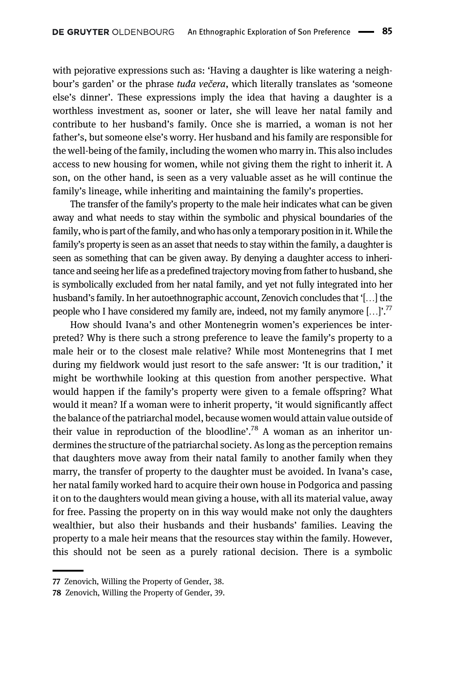with pejorative expressions such as: 'Having a daughter is like watering a neighbour's garden' or the phrase tuda večera, which literally translates as 'someone else's dinner'. These expressions imply the idea that having a daughter is a worthless investment as, sooner or later, she will leave her natal family and contribute to her husband's family. Once she is married, a woman is not her father's, but someone else's worry. Her husband and his family are responsible for the well-being of the family, including the women who marry in. This also includes access to new housing for women, while not giving them the right to inherit it. A son, on the other hand, is seen as a very valuable asset as he will continue the family's lineage, while inheriting and maintaining the family's properties.

The transfer of the family's property to the male heir indicates what can be given away and what needs to stay within the symbolic and physical boundaries of the family, who is part of the family, and who has only a temporary position in it. While the family's property is seen as an asset that needs to stay within the family, a daughter is seen as something that can be given away. By denying a daughter access to inheritance and seeing her life as a predefined trajectory moving from father to husband, she is symbolically excluded from her natal family, and yet not fully integrated into her husband's family. In her autoethnographic account, Zenovich concludes that '[…] the people who I have considered my family are, indeed, not my family anymore [...]'.<sup>77</sup>

How should Ivana's and other Montenegrin women's experiences be interpreted? Why is there such a strong preference to leave the family's property to a male heir or to the closest male relative? While most Montenegrins that I met during my fieldwork would just resort to the safe answer: 'It is our tradition,' it might be worthwhile looking at this question from another perspective. What would happen if the family's property were given to a female offspring? What would it mean? If a woman were to inherit property, 'it would significantly affect the balance of the patriarchal model, because women would attain value outside of their value in reproduction of the bloodline'.<sup>78</sup> A woman as an inheritor undermines the structure of the patriarchal society. As long as the perception remains that daughters move away from their natal family to another family when they marry, the transfer of property to the daughter must be avoided. In Ivana's case, her natal family worked hard to acquire their own house in Podgorica and passing it on to the daughters would mean giving a house, with all its material value, away for free. Passing the property on in this way would make not only the daughters wealthier, but also their husbands and their husbands' families. Leaving the property to a male heir means that the resources stay within the family. However, this should not be seen as a purely rational decision. There is a symbolic

<sup>77</sup> Zenovich, Willing the Property of Gender, 38.

<sup>78</sup> Zenovich, Willing the Property of Gender, 39.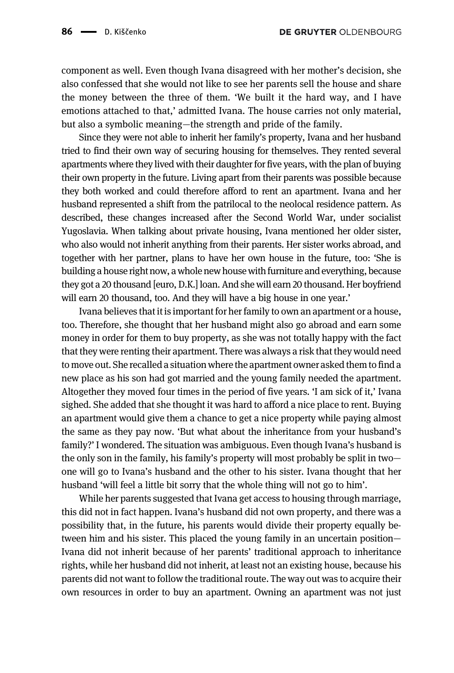component as well. Even though Ivana disagreed with her mother's decision, she also confessed that she would not like to see her parents sell the house and share the money between the three of them. 'We built it the hard way, and I have emotions attached to that,' admitted Ivana. The house carries not only material, but also a symbolic meaning—the strength and pride of the family.

Since they were not able to inherit her family's property, Ivana and her husband tried to find their own way of securing housing for themselves. They rented several apartments where they lived with their daughter for five years, with the plan of buying their own property in the future. Living apart from their parents was possible because they both worked and could therefore afford to rent an apartment. Ivana and her husband represented a shift from the patrilocal to the neolocal residence pattern. As described, these changes increased after the Second World War, under socialist Yugoslavia. When talking about private housing, Ivana mentioned her older sister, who also would not inherit anything from their parents. Her sister works abroad, and together with her partner, plans to have her own house in the future, too: 'She is building a house right now, a whole new house with furniture and everything, because they got a 20 thousand [euro, D.K.] loan. And she will earn 20 thousand. Her boyfriend will earn 20 thousand, too. And they will have a big house in one year.'

Ivana believes that it is important for her family to own an apartment or a house, too. Therefore, she thought that her husband might also go abroad and earn some money in order for them to buy property, as she was not totally happy with the fact that they were renting their apartment. There was always a risk that they would need to move out. She recalled a situation where the apartment owner asked them to find a new place as his son had got married and the young family needed the apartment. Altogether they moved four times in the period of five years. 'I am sick of it,' Ivana sighed. She added that she thought it was hard to afford a nice place to rent. Buying an apartment would give them a chance to get a nice property while paying almost the same as they pay now. 'But what about the inheritance from your husband's family?' I wondered. The situation was ambiguous. Even though Ivana's husband is the only son in the family, his family's property will most probably be split in two one will go to Ivana's husband and the other to his sister. Ivana thought that her husband 'will feel a little bit sorry that the whole thing will not go to him'.

While her parents suggested that Ivana get access to housing through marriage, this did not in fact happen. Ivana's husband did not own property, and there was a possibility that, in the future, his parents would divide their property equally between him and his sister. This placed the young family in an uncertain position— Ivana did not inherit because of her parents' traditional approach to inheritance rights, while her husband did not inherit, at least not an existing house, because his parents did not want to follow the traditional route. The way out was to acquire their own resources in order to buy an apartment. Owning an apartment was not just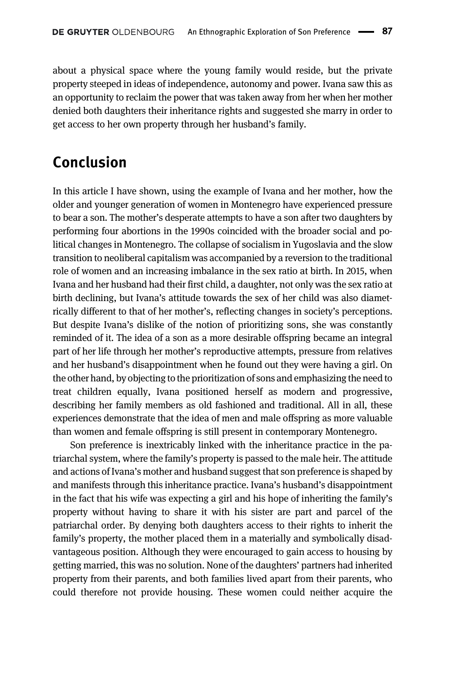about a physical space where the young family would reside, but the private property steeped in ideas of independence, autonomy and power. Ivana saw this as an opportunity to reclaim the power that was taken away from her when her mother denied both daughters their inheritance rights and suggested she marry in order to get access to her own property through her husband's family.

#### Conclusion

In this article I have shown, using the example of Ivana and her mother, how the older and younger generation of women in Montenegro have experienced pressure to bear a son. The mother's desperate attempts to have a son after two daughters by performing four abortions in the 1990s coincided with the broader social and political changes in Montenegro. The collapse of socialism in Yugoslavia and the slow transition to neoliberal capitalism was accompanied by a reversion to the traditional role of women and an increasing imbalance in the sex ratio at birth. In 2015, when Ivana and her husband had their first child, a daughter, not only was the sex ratio at birth declining, but Ivana's attitude towards the sex of her child was also diametrically different to that of her mother's, reflecting changes in society's perceptions. But despite Ivana's dislike of the notion of prioritizing sons, she was constantly reminded of it. The idea of a son as a more desirable offspring became an integral part of her life through her mother's reproductive attempts, pressure from relatives and her husband's disappointment when he found out they were having a girl. On the other hand, by objecting to the prioritization of sons and emphasizing the need to treat children equally, Ivana positioned herself as modern and progressive, describing her family members as old fashioned and traditional. All in all, these experiences demonstrate that the idea of men and male offspring as more valuable than women and female offspring is still present in contemporary Montenegro.

Son preference is inextricably linked with the inheritance practice in the patriarchal system, where the family's property is passed to the male heir. The attitude and actions of Ivana's mother and husband suggest that son preference is shaped by and manifests through this inheritance practice. Ivana's husband's disappointment in the fact that his wife was expecting a girl and his hope of inheriting the family's property without having to share it with his sister are part and parcel of the patriarchal order. By denying both daughters access to their rights to inherit the family's property, the mother placed them in a materially and symbolically disadvantageous position. Although they were encouraged to gain access to housing by getting married, this was no solution. None of the daughters' partners had inherited property from their parents, and both families lived apart from their parents, who could therefore not provide housing. These women could neither acquire the